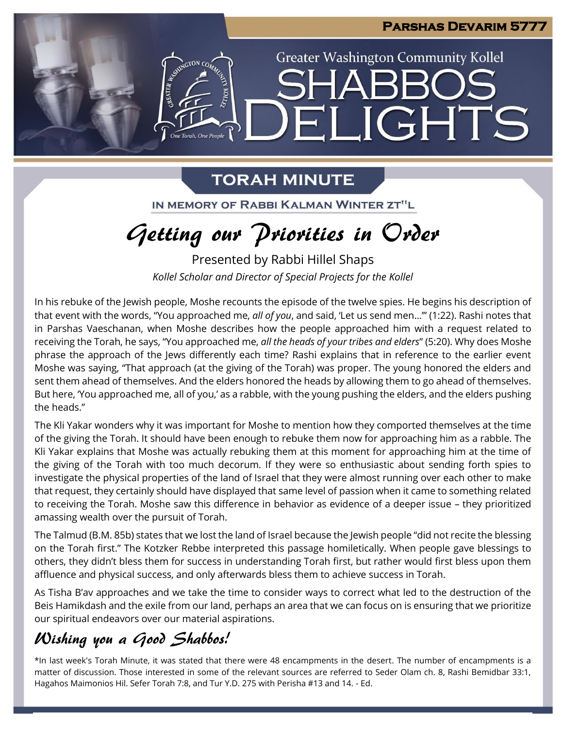

**LIGHTS** 

**Greater Washington Community Kollel** 

### **TORAH MINUTE**

One Torah One Peopl

 $\blacksquare$ 

IN MEMORY OF RABBI KALMAN WINTER ZT"L

# Getting our Priorities in Order

Presented by Rabbi Hillel Shaps *Kollel Scholar and Director of Special Projects for the Kollel*

In his rebuke of the Jewish people, Moshe recounts the episode of the twelve spies. He begins his description of that event with the words, "You approached me, *all of you*, and said, 'Let us send men…'" (1:22). Rashi notes that in Parshas Vaeschanan, when Moshe describes how the people approached him with a request related to receiving the Torah, he says, "You approached me, *all the heads of your tribes and elders*" (5:20). Why does Moshe phrase the approach of the Jews differently each time? Rashi explains that in reference to the earlier event Moshe was saying, "That approach (at the giving of the Torah) was proper. The young honored the elders and sent them ahead of themselves. And the elders honored the heads by allowing them to go ahead of themselves. But here, 'You approached me, all of you,' as a rabble, with the young pushing the elders, and the elders pushing the heads."

The Kli Yakar wonders why it was important for Moshe to mention how they comported themselves at the time of the giving the Torah. It should have been enough to rebuke them now for approaching him as a rabble. The Kli Yakar explains that Moshe was actually rebuking them at this moment for approaching him at the time of the giving of the Torah with too much decorum. If they were so enthusiastic about sending forth spies to investigate the physical properties of the land of Israel that they were almost running over each other to make that request, they certainly should have displayed that same level of passion when it came to something related to receiving the Torah. Moshe saw this difference in behavior as evidence of a deeper issue – they prioritized amassing wealth over the pursuit of Torah.

The Talmud (B.M. 85b) states that we lost the land of Israel because the Jewish people "did not recite the blessing on the Torah first." The Kotzker Rebbe interpreted this passage homiletically. When people gave blessings to others, they didn't bless them for success in understanding Torah first, but rather would first bless upon them affluence and physical success, and only afterwards bless them to achieve success in Torah.

As Tisha B'av approaches and we take the time to consider ways to correct what led to the destruction of the Beis Hamikdash and the exile from our land, perhaps an area that we can focus on is ensuring that we prioritize our spiritual endeavors over our material aspirations.

### Wishing you a Good Shabbos!

\*In last week's Torah Minute, it was stated that there were 48 encampments in the desert. The number of encampments is a matter of discussion. Those interested in some of the relevant sources are referred to Seder Olam ch. 8, Rashi Bemidbar 33:1, Hagahos Maimonios Hil. Sefer Torah 7:8, and Tur Y.D. 275 with Perisha #13 and 14. - Ed.